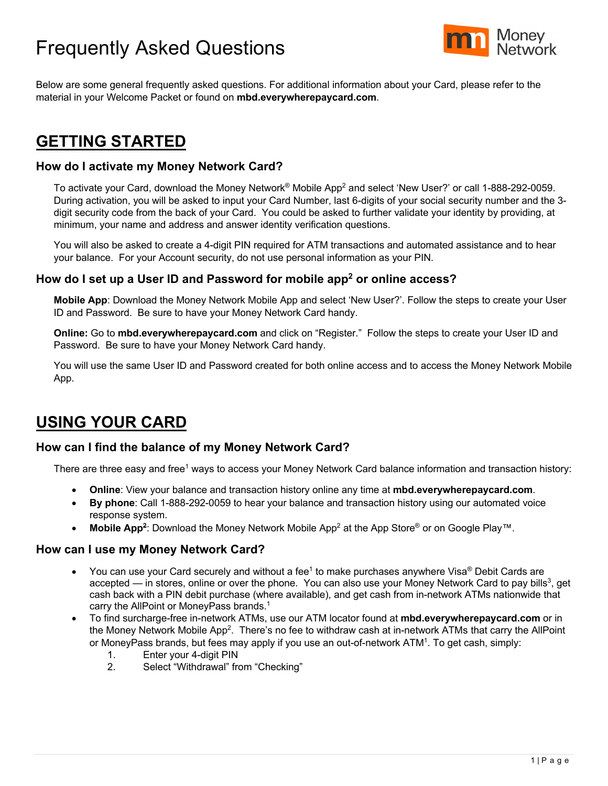# Frequently Asked Questions



Below are some general frequently asked questions. For additional information about your Card, please refer to the material in your Welcome Packet or found on **mbd.everywherepaycard.com**.

## **GETTING STARTED**

## **How do I activate my Money Network Card?**

To activate your Card, download the Money Network® Mobile App<sup>2</sup> and select 'New User?' or call 1-888-292-0059. During activation, you will be asked to input your Card Number, last 6-digits of your social security number and the 3 digit security code from the back of your Card. You could be asked to further validate your identity by providing, at minimum, your name and address and answer identity verification questions.

You will also be asked to create a 4-digit PIN required for ATM transactions and automated assistance and to hear your balance. For your Account security, do not use personal information as your PIN.

## **How do I set up a User ID and Password for mobile app2 or online access?**

**Mobile App**: Download the Money Network Mobile App and select 'New User?'. Follow the steps to create your User ID and Password. Be sure to have your Money Network Card handy.

**Online:** Go to **mbd.everywherepaycard.com** and click on "Register." Follow the steps to create your User ID and Password. Be sure to have your Money Network Card handy.

You will use the same User ID and Password created for both online access and to access the Money Network Mobile App.

## **USING YOUR CARD**

## **How can I find the balance of my Money Network Card?**

There are three easy and free<sup>1</sup> ways to access your Money Network Card balance information and transaction history:

- **Online**: View your balance and transaction history online any time at **mbd.everywherepaycard.com**.
- **By phone**: Call 1-888-292-0059 to hear your balance and transaction history using our automated voice response system.
- **Mobile App2**: Download the Money Network Mobile App2 at the App Store® or on Google Play™.

#### **How can I use my Money Network Card?**

- You can use your Card securely and without a fee<sup>1</sup> to make purchases anywhere Visa<sup>®</sup> Debit Cards are accepted — in stores, online or over the phone. You can also use your Money Network Card to pay bills<sup>3</sup>, get cash back with a PIN debit purchase (where available), and get cash from in-network ATMs nationwide that carry the AllPoint or MoneyPass brands. 1
- To find surcharge-free in-network ATMs, use our ATM locator found at **mbd.everywherepaycard.com** or in the Money Network Mobile App<sup>2</sup>. There's no fee to withdraw cash at in-network ATMs that carry the AllPoint or MoneyPass brands, but fees may apply if you use an out-of-network ATM1. To get cash, simply:
	- 1. Enter your 4-digit PIN
	- 2. Select "Withdrawal" from "Checking"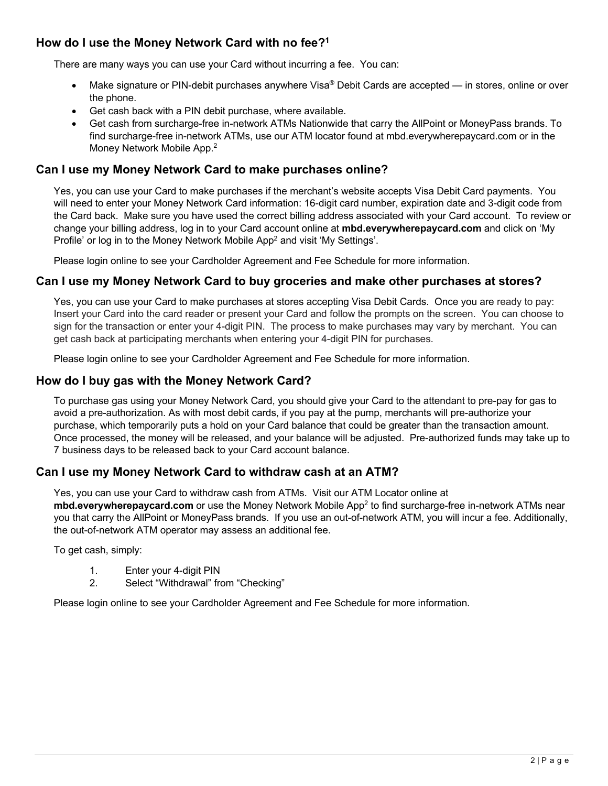## **How do I use the Money Network Card with no fee?1**

There are many ways you can use your Card without incurring a fee. You can:

- Make signature or PIN-debit purchases anywhere Visa® Debit Cards are accepted in stores, online or over the phone.
- Get cash back with a PIN debit purchase, where available.
- Get cash from surcharge-free in-network ATMs Nationwide that carry the AllPoint or MoneyPass brands. To find surcharge-free in-network ATMs, use our ATM locator found at mbd.everywherepaycard.com or in the Money Network Mobile App. 2

## **Can I use my Money Network Card to make purchases online?**

Yes, you can use your Card to make purchases if the merchant's website accepts Visa Debit Card payments. You will need to enter your Money Network Card information: 16-digit card number, expiration date and 3-digit code from the Card back. Make sure you have used the correct billing address associated with your Card account. To review or change your billing address, log in to your Card account online at **mbd.everywherepaycard.com** and click on 'My Profile' or log in to the Money Network Mobile App<sup>2</sup> and visit 'My Settings'.

Please login online to see your Cardholder Agreement and Fee Schedule for more information.

## **Can I use my Money Network Card to buy groceries and make other purchases at stores?**

Yes, you can use your Card to make purchases at stores accepting Visa Debit Cards. Once you are ready to pay: Insert your Card into the card reader or present your Card and follow the prompts on the screen. You can choose to sign for the transaction or enter your 4-digit PIN. The process to make purchases may vary by merchant. You can get cash back at participating merchants when entering your 4-digit PIN for purchases.

Please login online to see your Cardholder Agreement and Fee Schedule for more information.

## **How do I buy gas with the Money Network Card?**

To purchase gas using your Money Network Card, you should give your Card to the attendant to pre-pay for gas to avoid a pre-authorization. As with most debit cards, if you pay at the pump, merchants will pre-authorize your purchase, which temporarily puts a hold on your Card balance that could be greater than the transaction amount. Once processed, the money will be released, and your balance will be adjusted. Pre-authorized funds may take up to 7 business days to be released back to your Card account balance.

## **Can I use my Money Network Card to withdraw cash at an ATM?**

Yes, you can use your Card to withdraw cash from ATMs. Visit our ATM Locator online at **mbd.everywherepaycard.com** or use the Money Network Mobile App2 to find surcharge-free in-network ATMs near you that carry the AllPoint or MoneyPass brands. If you use an out-of-network ATM, you will incur a fee. Additionally, the out-of-network ATM operator may assess an additional fee.

To get cash, simply:

- 1. Enter your 4-digit PIN
- 2. Select "Withdrawal" from "Checking"

Please login online to see your Cardholder Agreement and Fee Schedule for more information.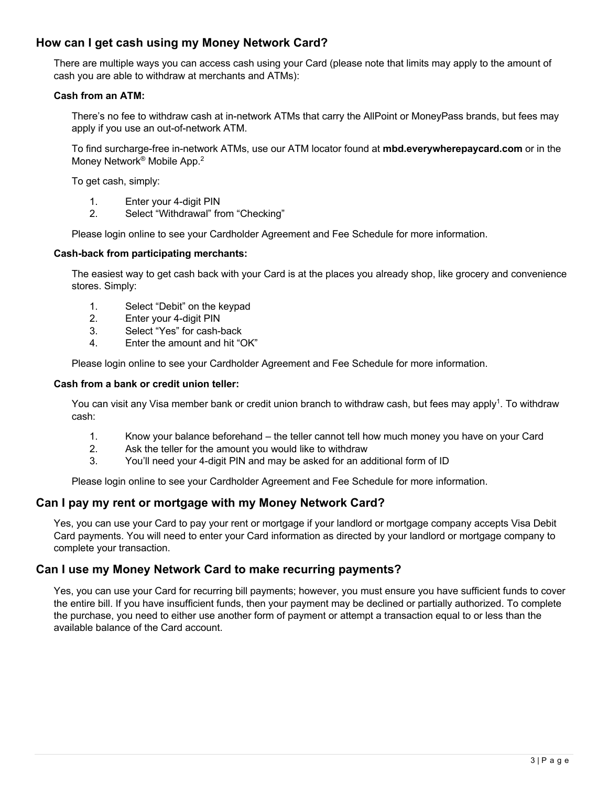## **How can I get cash using my Money Network Card?**

There are multiple ways you can access cash using your Card (please note that limits may apply to the amount of cash you are able to withdraw at merchants and ATMs):

#### **Cash from an ATM:**

There's no fee to withdraw cash at in-network ATMs that carry the AllPoint or MoneyPass brands, but fees may apply if you use an out-of-network ATM.

To find surcharge-free in-network ATMs, use our ATM locator found at **mbd.everywherepaycard.com** or in the Money Network® Mobile App.2

To get cash, simply:

- 1. Enter your 4-digit PIN
- 2. Select "Withdrawal" from "Checking"

Please login online to see your Cardholder Agreement and Fee Schedule for more information.

#### **Cash-back from participating merchants:**

The easiest way to get cash back with your Card is at the places you already shop, like grocery and convenience stores. Simply:

- 1. Select "Debit" on the keypad
- 2. Enter your 4-digit PIN
- 3. Select "Yes" for cash-back
- 4. Enter the amount and hit "OK"

Please login online to see your Cardholder Agreement and Fee Schedule for more information.

#### **Cash from a bank or credit union teller:**

You can visit any Visa member bank or credit union branch to withdraw cash, but fees may apply<sup>1</sup>. To withdraw cash:

- 1. Know your balance beforehand the teller cannot tell how much money you have on your Card
- 2. Ask the teller for the amount you would like to withdraw
- 3. You'll need your 4-digit PIN and may be asked for an additional form of ID

Please login online to see your Cardholder Agreement and Fee Schedule for more information.

## **Can I pay my rent or mortgage with my Money Network Card?**

Yes, you can use your Card to pay your rent or mortgage if your landlord or mortgage company accepts Visa Debit Card payments. You will need to enter your Card information as directed by your landlord or mortgage company to complete your transaction.

## **Can I use my Money Network Card to make recurring payments?**

Yes, you can use your Card for recurring bill payments; however, you must ensure you have sufficient funds to cover the entire bill. If you have insufficient funds, then your payment may be declined or partially authorized. To complete the purchase, you need to either use another form of payment or attempt a transaction equal to or less than the available balance of the Card account.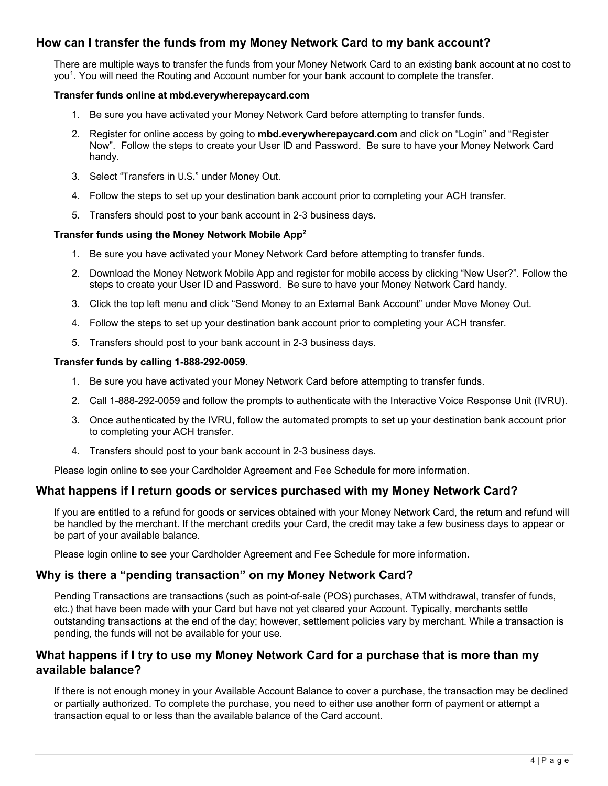## **How can I transfer the funds from my Money Network Card to my bank account?**

There are multiple ways to transfer the funds from your Money Network Card to an existing bank account at no cost to you1. You will need the Routing and Account number for your bank account to complete the transfer.

#### **Transfer funds online at mbd.everywherepaycard.com**

- 1. Be sure you have activated your Money Network Card before attempting to transfer funds.
- 2. Register for online access by going to **mbd.everywherepaycard.com** and click on "Login" and "Register Now". Follow the steps to create your User ID and Password. Be sure to have your Money Network Card handy.
- 3. Select "Transfers in U.S." under Money Out.
- 4. Follow the steps to set up your destination bank account prior to completing your ACH transfer.
- 5. Transfers should post to your bank account in 2-3 business days.

#### **Transfer funds using the Money Network Mobile App2**

- 1. Be sure you have activated your Money Network Card before attempting to transfer funds.
- 2. Download the Money Network Mobile App and register for mobile access by clicking "New User?". Follow the steps to create your User ID and Password. Be sure to have your Money Network Card handy.
- 3. Click the top left menu and click "Send Money to an External Bank Account" under Move Money Out.
- 4. Follow the steps to set up your destination bank account prior to completing your ACH transfer.
- 5. Transfers should post to your bank account in 2-3 business days.

#### **Transfer funds by calling 1-888-292-0059.**

- 1. Be sure you have activated your Money Network Card before attempting to transfer funds.
- 2. Call 1-888-292-0059 and follow the prompts to authenticate with the Interactive Voice Response Unit (IVRU).
- 3. Once authenticated by the IVRU, follow the automated prompts to set up your destination bank account prior to completing your ACH transfer.
- 4. Transfers should post to your bank account in 2-3 business days.

Please login online to see your Cardholder Agreement and Fee Schedule for more information.

## **What happens if I return goods or services purchased with my Money Network Card?**

If you are entitled to a refund for goods or services obtained with your Money Network Card, the return and refund will be handled by the merchant. If the merchant credits your Card, the credit may take a few business days to appear or be part of your available balance.

Please login online to see your Cardholder Agreement and Fee Schedule for more information.

## **Why is there a "pending transaction" on my Money Network Card?**

Pending Transactions are transactions (such as point-of-sale (POS) purchases, ATM withdrawal, transfer of funds, etc.) that have been made with your Card but have not yet cleared your Account. Typically, merchants settle outstanding transactions at the end of the day; however, settlement policies vary by merchant. While a transaction is pending, the funds will not be available for your use.

## **What happens if I try to use my Money Network Card for a purchase that is more than my available balance?**

If there is not enough money in your Available Account Balance to cover a purchase, the transaction may be declined or partially authorized. To complete the purchase, you need to either use another form of payment or attempt a transaction equal to or less than the available balance of the Card account.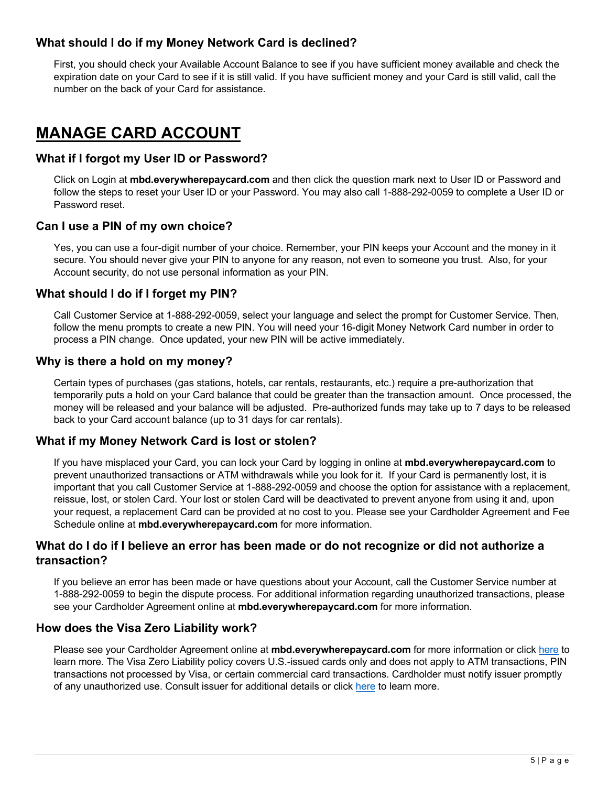## **What should I do if my Money Network Card is declined?**

First, you should check your Available Account Balance to see if you have sufficient money available and check the expiration date on your Card to see if it is still valid. If you have sufficient money and your Card is still valid, call the number on the back of your Card for assistance.

## **MANAGE CARD ACCOUNT**

## **What if I forgot my User ID or Password?**

Click on Login at **mbd.everywherepaycard.com** and then click the question mark next to User ID or Password and follow the steps to reset your User ID or your Password. You may also call 1-888-292-0059 to complete a User ID or Password reset.

## **Can I use a PIN of my own choice?**

Yes, you can use a four-digit number of your choice. Remember, your PIN keeps your Account and the money in it secure. You should never give your PIN to anyone for any reason, not even to someone you trust. Also, for your Account security, do not use personal information as your PIN.

## **What should I do if I forget my PIN?**

Call Customer Service at 1-888-292-0059, select your language and select the prompt for Customer Service. Then, follow the menu prompts to create a new PIN. You will need your 16-digit Money Network Card number in order to process a PIN change. Once updated, your new PIN will be active immediately.

## **Why is there a hold on my money?**

Certain types of purchases (gas stations, hotels, car rentals, restaurants, etc.) require a pre-authorization that temporarily puts a hold on your Card balance that could be greater than the transaction amount. Once processed, the money will be released and your balance will be adjusted. Pre-authorized funds may take up to 7 days to be released back to your Card account balance (up to 31 days for car rentals).

## **What if my Money Network Card is lost or stolen?**

If you have misplaced your Card, you can lock your Card by logging in online at **mbd.everywherepaycard.com** to prevent unauthorized transactions or ATM withdrawals while you look for it. If your Card is permanently lost, it is important that you call Customer Service at 1-888-292-0059 and choose the option for assistance with a replacement, reissue, lost, or stolen Card. Your lost or stolen Card will be deactivated to prevent anyone from using it and, upon your request, a replacement Card can be provided at no cost to you. Please see your Cardholder Agreement and Fee Schedule online at **mbd.everywherepaycard.com** for more information.

## **What do I do if I believe an error has been made or do not recognize or did not authorize a transaction?**

If you believe an error has been made or have questions about your Account, call the Customer Service number at 1-888-292-0059 to begin the dispute process. For additional information regarding unauthorized transactions, please see your Cardholder Agreement online at **mbd.everywherepaycard.com** for more information.

## **How does the Visa Zero Liability work?**

Please see your Cardholder Agreement online at **mbd.everywherepaycard.com** for more information or click [here](https://usa.visa.com/pay-with-visa/visa-chip-technology-consumers/zero-liability-policy.html) to learn more. The Visa Zero Liability policy covers U.S.-issued cards only and does not apply to ATM transactions, PIN transactions not processed by Visa, or certain commercial card transactions. Cardholder must notify issuer promptly of any unauthorized use. Consult issuer for additional details or click [here](https://usa.visa.com/pay-with-visa/visa-chip-technology-consumers/zero-liability-policy.html) to learn more.